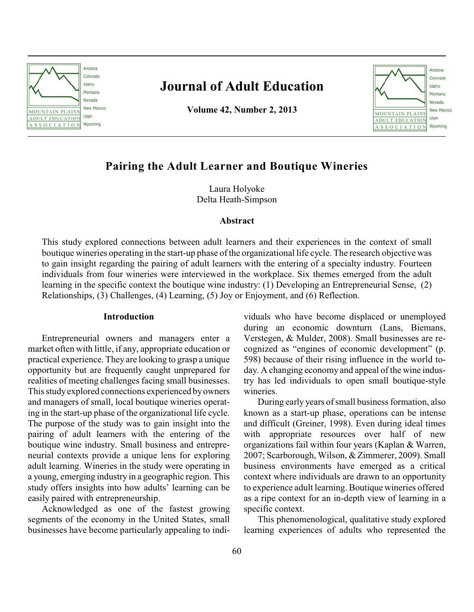

# **Journal of Adult Education**

**Volume 42, Number 2, 2013**



# **Pairing the Adult Learner and Boutique Wineries**

Laura Holyoke Delta Heath-Simpson

# **Abstract**

This study explored connections between adult learners and their experiences in the context of small boutique wineries operating in the start-up phase of the organizational life cycle. The research objective was to gain insight regarding the pairing of adult learners with the entering of a specialty industry. Fourteen individuals from four wineries were interviewed in the workplace. Six themes emerged from the adult learning in the specific context the boutique wine industry: (1) Developing an Entrepreneurial Sense, (2) Relationships, (3) Challenges, (4) Learning, (5) Joy or Enjoyment, and (6) Reflection.

# **Introduction**

Entrepreneurial owners and managers enter a market often with little, if any, appropriate education or practical experience. They are looking to grasp a unique opportunity but are frequently caught unprepared for realities of meeting challenges facing small businesses. This studyexplored connections experienced byowners and managers of small, local boutique wineries operating in the start-up phase of the organizational life cycle. The purpose of the study was to gain insight into the pairing of adult learners with the entering of the boutique wine industry. Small business and entrepreneurial contexts provide a unique lens for exploring adult learning. Wineries in the study were operating in a young, emerging industry in a geographic region. This study offers insights into how adults' learning can be easily paired with entrepreneurship.

Acknowledged as one of the fastest growing segments of the economy in the United States, small businesses have become particularly appealing to individuals who have become displaced or unemployed during an economic downturn (Lans, Biemans, Verstegen, & Mulder, 2008). Small businesses are recognized as "engines of economic development" (p. 598) because of their rising influence in the world today. A changing economy and appeal of the wine industry has led individuals to open small boutique-style wineries.

During early years of small business formation, also known as a start-up phase, operations can be intense and difficult (Greiner, 1998). Even during ideal times with appropriate resources over half of new organizations fail within four years (Kaplan & Warren, 2007; Scarborough, Wilson, & Zimmerer, 2009). Small business environments have emerged as a critical context where individuals are drawn to an opportunity to experience adult learning. Boutique wineries offered as a ripe context for an in-depth view of learning in a specific context.

This phenomenological, qualitative study explored learning experiences of adults who represented the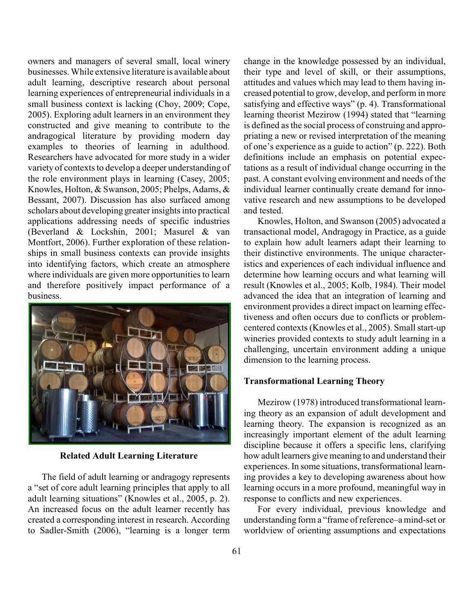owners and managers of several small, local winery businesses. While extensive literature is available about adult learning, descriptive research about personal learning experiences of entrepreneurial individuals in a small business context is lacking (Choy, 2009; Cope, 2005). Exploring adult learners in an environment they constructed and give meaning to contribute to the andragogical literature by providing modern day examples to theories of learning in adulthood. Researchers have advocated for more study in a wider variety of contexts to develop a deeper understanding of the role environment plays in learning (Casey, 2005; Knowles, Holton, & Swanson, 2005; Phelps, Adams, & Bessant, 2007). Discussion has also surfaced among scholars about developing greater insights into practical applications addressing needs of specific industries (Beverland & Lockshin, 2001; Masurel & van Montfort, 2006). Further exploration of these relationships in small business contexts can provide insights into identifying factors, which create an atmosphere where individuals are given more opportunities to learn and therefore positively impact performance of a business.



**Related Adult Learning Literature**

The field of adult learning or andragogy represents a "set of core adult learning principles that apply to all adult learning situations" (Knowles et al., 2005, p. 2). An increased focus on the adult learner recently has created a corresponding interest in research. According to Sadler-Smith (2006), "learning is a longer term

change in the knowledge possessed by an individual, their type and level of skill, or their assumptions, attitudes and values which may lead to them having increased potential to grow, develop, and perform in more satisfying and effective ways" (p. 4). Transformational learning theorist Mezirow (1994) stated that "learning is defined as the social process of construing and appropriating a new or revised interpretation of the meaning of one's experience as a guide to action" (p. 222). Both definitions include an emphasis on potential expectations as a result of individual change occurring in the past. A constant evolving environment and needs of the individual learner continually create demand for innovative research and new assumptions to be developed and tested.

Knowles, Holton, and Swanson (2005) advocated a transactional model, Andragogy in Practice, as a guide to explain how adult learners adapt their learning to their distinctive environments. The unique characteristics and experiences of each individual influence and determine how learning occurs and what learning will result (Knowles et al., 2005; Kolb, 1984). Their model advanced the idea that an integration of learning and environment provides a direct impact on learning effectiveness and often occurs due to conflicts or problemcentered contexts (Knowles et al., 2005). Small start-up wineries provided contexts to study adult learning in a challenging, uncertain environment adding a unique dimension to the learning process.

#### **Transformational Learning Theory**

Mezirow (1978) introduced transformational learning theory as an expansion of adult development and learning theory. The expansion is recognized as an increasingly important element of the adult learning discipline because it offers a specific lens, clarifying how adult learners give meaning to and understand their experiences. In some situations, transformational learning provides a key to developing awareness about how learning occurs in a more profound, meaningful way in response to conflicts and new experiences.

For every individual, previous knowledge and understanding form a "frame of reference–amind-set or worldview of orienting assumptions and expectations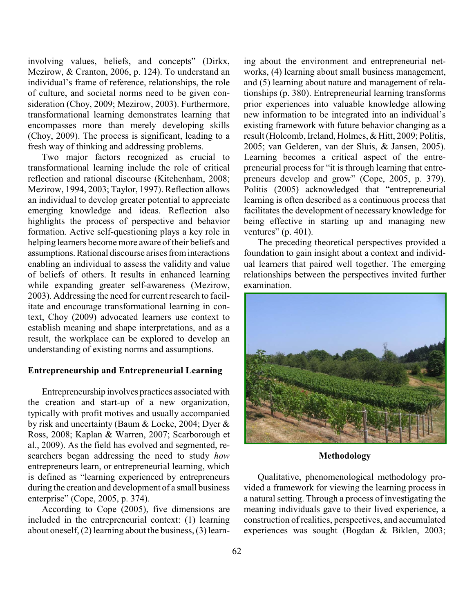involving values, beliefs, and concepts" (Dirkx, Mezirow, & Cranton, 2006, p. 124). To understand an individual's frame of reference, relationships, the role of culture, and societal norms need to be given consideration (Choy, 2009; Mezirow, 2003). Furthermore, transformational learning demonstrates learning that encompasses more than merely developing skills (Choy, 2009). The process is significant, leading to a fresh way of thinking and addressing problems.

Two major factors recognized as crucial to transformational learning include the role of critical reflection and rational discourse (Kitchenham, 2008; Mezirow, 1994, 2003; Taylor, 1997). Reflection allows an individual to develop greater potential to appreciate emerging knowledge and ideas. Reflection also highlights the process of perspective and behavior formation. Active self-questioning plays a key role in helping learners become more aware of their beliefs and assumptions. Rational discourse arises from interactions enabling an individual to assess the validity and value of beliefs of others. It results in enhanced learning while expanding greater self-awareness (Mezirow, 2003). Addressing the need for current research to facilitate and encourage transformational learning in context, Choy (2009) advocated learners use context to establish meaning and shape interpretations, and as a result, the workplace can be explored to develop an understanding of existing norms and assumptions.

### **Entrepreneurship and Entrepreneurial Learning**

Entrepreneurship involves practices associated with the creation and start-up of a new organization, typically with profit motives and usually accompanied by risk and uncertainty (Baum & Locke, 2004; Dyer & Ross, 2008; Kaplan & Warren, 2007; Scarborough et al., 2009). As the field has evolved and segmented, researchers began addressing the need to study *how* entrepreneurs learn, or entrepreneurial learning, which is defined as "learning experienced by entrepreneurs during the creation and development of a small business enterprise" (Cope, 2005, p. 374).

According to Cope (2005), five dimensions are included in the entrepreneurial context: (1) learning about oneself, (2) learning about the business, (3) learning about the environment and entrepreneurial networks, (4) learning about small business management, and (5) learning about nature and management of relationships (p. 380). Entrepreneurial learning transforms prior experiences into valuable knowledge allowing new information to be integrated into an individual's existing framework with future behavior changing as a result (Holcomb, Ireland, Holmes, & Hitt, 2009; Politis, 2005; van Gelderen, van der Sluis, & Jansen, 2005). Learning becomes a critical aspect of the entrepreneurial process for "it is through learning that entrepreneurs develop and grow" (Cope, 2005, p. 379). Politis (2005) acknowledged that "entrepreneurial learning is often described as a continuous process that facilitates the development of necessary knowledge for being effective in starting up and managing new ventures" (p. 401).

The preceding theoretical perspectives provided a foundation to gain insight about a context and individual learners that paired well together. The emerging relationships between the perspectives invited further examination.



**Methodology**

Qualitative, phenomenological methodology provided a framework for viewing the learning process in a natural setting. Through a process of investigating the meaning individuals gave to their lived experience, a construction of realities, perspectives, and accumulated experiences was sought (Bogdan & Biklen, 2003;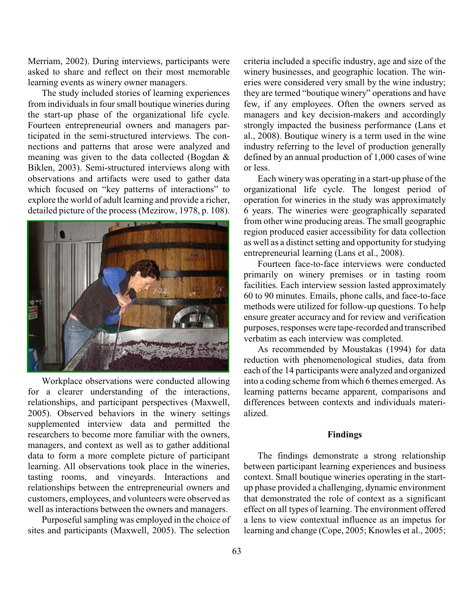Merriam, 2002). During interviews, participants were asked to share and reflect on their most memorable learning events as winery owner managers.

The study included stories of learning experiences from individuals in four small boutique wineries during the start-up phase of the organizational life cycle. Fourteen entrepreneurial owners and managers participated in the semi-structured interviews. The connections and patterns that arose were analyzed and meaning was given to the data collected (Bogdan & Biklen, 2003). Semi-structured interviews along with observations and artifacts were used to gather data which focused on "key patterns of interactions" to explore the world of adult learning and provide a richer, detailed picture of the process (Mezirow, 1978, p. 108).



Workplace observations were conducted allowing for a clearer understanding of the interactions, relationships, and participant perspectives (Maxwell, 2005). Observed behaviors in the winery settings supplemented interview data and permitted the researchers to become more familiar with the owners, managers, and context as well as to gather additional data to form a more complete picture of participant learning. All observations took place in the wineries, tasting rooms, and vineyards. Interactions and relationships between the entrepreneurial owners and customers, employees, and volunteers were observed as well as interactions between the owners and managers.

Purposeful sampling was employed in the choice of sites and participants (Maxwell, 2005). The selection

criteria included a specific industry, age and size of the winery businesses, and geographic location. The wineries were considered very small by the wine industry; they are termed "boutique winery" operations and have few, if any employees. Often the owners served as managers and key decision-makers and accordingly strongly impacted the business performance (Lans et al., 2008). Boutique winery is a term used in the wine industry referring to the level of production generally defined by an annual production of 1,000 cases of wine or less.

Each winerywas operating in a start-up phase of the organizational life cycle. The longest period of operation for wineries in the study was approximately 6 years. The wineries were geographically separated from other wine producing areas. The small geographic region produced easier accessibility for data collection as well as a distinct setting and opportunity for studying entrepreneurial learning (Lans et al., 2008).

Fourteen face-to-face interviews were conducted primarily on winery premises or in tasting room facilities. Each interview session lasted approximately 60 to 90 minutes. Emails, phone calls, and face-to-face methods were utilized for follow-up questions. To help ensure greater accuracy and for review and verification purposes, responses were tape-recorded and transcribed verbatim as each interview was completed.

As recommended by Moustakas (1994) for data reduction with phenomenological studies, data from each of the 14 participants were analyzed and organized into a coding scheme from which 6 themes emerged. As learning patterns became apparent, comparisons and differences between contexts and individuals materialized.

#### **Findings**

The findings demonstrate a strong relationship between participant learning experiences and business context. Small boutique wineries operating in the startup phase provided a challenging, dynamic environment that demonstrated the role of context as a significant effect on all types of learning. The environment offered a lens to view contextual influence as an impetus for learning and change (Cope, 2005; Knowles et al., 2005;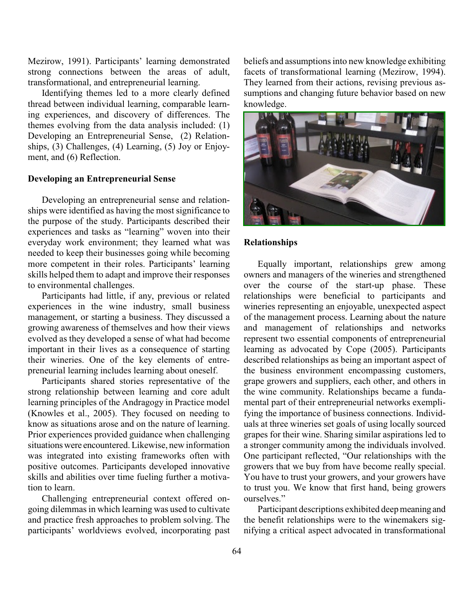Mezirow, 1991). Participants' learning demonstrated strong connections between the areas of adult, transformational, and entrepreneurial learning.

Identifying themes led to a more clearly defined thread between individual learning, comparable learning experiences, and discovery of differences. The themes evolving from the data analysis included: (1) Developing an Entrepreneurial Sense, (2) Relationships, (3) Challenges, (4) Learning, (5) Joy or Enjoyment, and (6) Reflection.

### **Developing an Entrepreneurial Sense**

Developing an entrepreneurial sense and relationships were identified as having the most significance to the purpose of the study. Participants described their experiences and tasks as "learning" woven into their everyday work environment; they learned what was needed to keep their businesses going while becoming more competent in their roles. Participants' learning skills helped them to adapt and improve their responses to environmental challenges.

Participants had little, if any, previous or related experiences in the wine industry, small business management, or starting a business. They discussed a growing awareness of themselves and how their views evolved as they developed a sense of what had become important in their lives as a consequence of starting their wineries. One of the key elements of entrepreneurial learning includes learning about oneself.

Participants shared stories representative of the strong relationship between learning and core adult learning principles of the Andragogy in Practice model (Knowles et al., 2005). They focused on needing to know as situations arose and on the nature of learning. Prior experiences provided guidance when challenging situationswere encountered. Likewise, new information was integrated into existing frameworks often with positive outcomes. Participants developed innovative skills and abilities over time fueling further a motivation to learn.

Challenging entrepreneurial context offered ongoing dilemmas in which learning was used to cultivate and practice fresh approaches to problem solving. The participants' worldviews evolved, incorporating past

beliefs and assumptions into new knowledge exhibiting facets of transformational learning (Mezirow, 1994). They learned from their actions, revising previous assumptions and changing future behavior based on new knowledge.



#### **Relationships**

Equally important, relationships grew among owners and managers of the wineries and strengthened over the course of the start-up phase. These relationships were beneficial to participants and wineries representing an enjoyable, unexpected aspect of the management process. Learning about the nature and management of relationships and networks represent two essential components of entrepreneurial learning as advocated by Cope (2005). Participants described relationships as being an important aspect of the business environment encompassing customers, grape growers and suppliers, each other, and others in the wine community. Relationships became a fundamental part of their entrepreneurial networks exemplifying the importance of business connections. Individuals at three wineries set goals of using locally sourced grapes for their wine. Sharing similar aspirations led to a stronger community among the individuals involved. One participant reflected, "Our relationships with the growers that we buy from have become really special. You have to trust your growers, and your growers have to trust you. We know that first hand, being growers ourselves."

Participant descriptions exhibited deep meaning and the benefit relationships were to the winemakers signifying a critical aspect advocated in transformational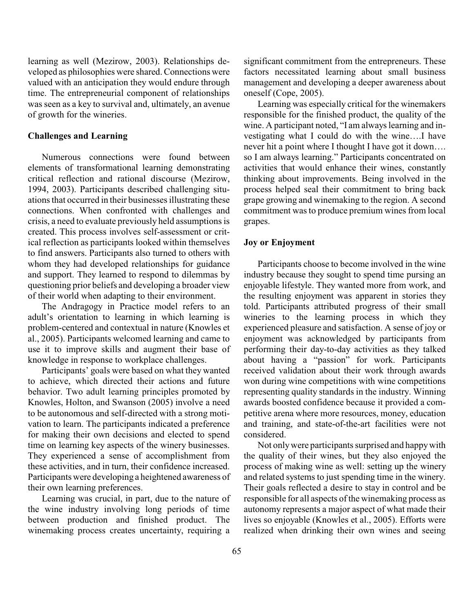learning as well (Mezirow, 2003). Relationships developed as philosophies were shared. Connections were valued with an anticipation they would endure through time. The entrepreneurial component of relationships was seen as a key to survival and, ultimately, an avenue of growth for the wineries.

# **Challenges and Learning**

Numerous connections were found between elements of transformational learning demonstrating critical reflection and rational discourse (Mezirow, 1994, 2003). Participants described challenging situations that occurred in their businesses illustrating these connections. When confronted with challenges and crisis, a need to evaluate previously held assumptions is created. This process involves self-assessment or critical reflection as participants looked within themselves to find answers. Participants also turned to others with whom they had developed relationships for guidance and support. They learned to respond to dilemmas by questioning prior beliefs and developing a broader view of their world when adapting to their environment.

The Andragogy in Practice model refers to an adult's orientation to learning in which learning is problem-centered and contextual in nature (Knowles et al., 2005). Participants welcomed learning and came to use it to improve skills and augment their base of knowledge in response to workplace challenges.

Participants' goals were based on what they wanted to achieve, which directed their actions and future behavior. Two adult learning principles promoted by Knowles, Holton, and Swanson (2005) involve a need to be autonomous and self-directed with a strong motivation to learn. The participants indicated a preference for making their own decisions and elected to spend time on learning key aspects of the winery businesses. They experienced a sense of accomplishment from these activities, and in turn, their confidence increased. Participants were developing a heightened awareness of their own learning preferences.

Learning was crucial, in part, due to the nature of the wine industry involving long periods of time between production and finished product. The winemaking process creates uncertainty, requiring a

significant commitment from the entrepreneurs. These factors necessitated learning about small business management and developing a deeper awareness about oneself (Cope, 2005).

Learning was especially critical for the winemakers responsible for the finished product, the quality of the wine. A participant noted, "I am always learning and investigating what I could do with the wine….I have never hit a point where I thought I have got it down…. so I am always learning." Participants concentrated on activities that would enhance their wines, constantly thinking about improvements. Being involved in the process helped seal their commitment to bring back grape growing and winemaking to the region. A second commitment was to produce premium wines from local grapes.

# **Joy or Enjoyment**

Participants choose to become involved in the wine industry because they sought to spend time pursing an enjoyable lifestyle. They wanted more from work, and the resulting enjoyment was apparent in stories they told. Participants attributed progress of their small wineries to the learning process in which they experienced pleasure and satisfaction. A sense of joy or enjoyment was acknowledged by participants from performing their day-to-day activities as they talked about having a "passion" for work. Participants received validation about their work through awards won during wine competitions with wine competitions representing quality standards in the industry. Winning awards boosted confidence because it provided a competitive arena where more resources, money, education and training, and state-of-the-art facilities were not considered.

Not onlywere participants surprised and happywith the quality of their wines, but they also enjoyed the process of making wine as well: setting up the winery and related systems to just spending time in the winery. Their goals reflected a desire to stay in control and be responsible for all aspects of the winemaking process as autonomy represents a major aspect of what made their lives so enjoyable (Knowles et al., 2005). Efforts were realized when drinking their own wines and seeing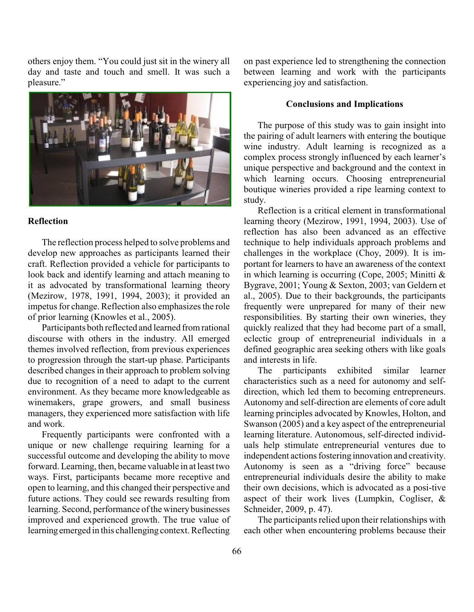others enjoy them. "You could just sit in the winery all day and taste and touch and smell. It was such a pleasure."



# **Reflection**

The reflection process helped to solve problems and develop new approaches as participants learned their craft. Reflection provided a vehicle for participants to look back and identify learning and attach meaning to it as advocated by transformational learning theory (Mezirow, 1978, 1991, 1994, 2003); it provided an impetus for change. Reflection also emphasizes the role of prior learning (Knowles et al., 2005).

Participants both reflected and learned from rational discourse with others in the industry. All emerged themes involved reflection, from previous experiences to progression through the start-up phase. Participants described changes in their approach to problem solving due to recognition of a need to adapt to the current environment. As they became more knowledgeable as winemakers, grape growers, and small business managers, they experienced more satisfaction with life and work.

Frequently participants were confronted with a unique or new challenge requiring learning for a successful outcome and developing the ability to move forward. Learning, then, became valuable in at least two ways. First, participants became more receptive and open to learning, and this changed their perspective and future actions. They could see rewards resulting from learning. Second, performance of the winery businesses improved and experienced growth. The true value of learning emerged in this challenging context. Reflecting

on past experience led to strengthening the connection between learning and work with the participants experiencing joy and satisfaction.

#### **Conclusions and Implications**

The purpose of this study was to gain insight into the pairing of adult learners with entering the boutique wine industry. Adult learning is recognized as a complex process strongly influenced by each learner's unique perspective and background and the context in which learning occurs. Choosing entrepreneurial boutique wineries provided a ripe learning context to study.

Reflection is a critical element in transformational learning theory (Mezirow, 1991, 1994, 2003). Use of reflection has also been advanced as an effective technique to help individuals approach problems and challenges in the workplace (Choy, 2009). It is important for learners to have an awareness of the context in which learning is occurring (Cope, 2005; Minitti & Bygrave, 2001; Young & Sexton, 2003; van Geldern et al., 2005). Due to their backgrounds, the participants frequently were unprepared for many of their new responsibilities. By starting their own wineries, they quickly realized that they had become part of a small, eclectic group of entrepreneurial individuals in a defined geographic area seeking others with like goals and interests in life.

The participants exhibited similar learner characteristics such as a need for autonomy and selfdirection, which led them to becoming entrepreneurs. Autonomy and self-direction are elements of core adult learning principles advocated by Knowles, Holton, and Swanson (2005) and a key aspect of the entrepreneurial learning literature. Autonomous, self-directed individuals help stimulate entrepreneurial ventures due to independent actions fostering innovation and creativity. Autonomy is seen as a "driving force" because entrepreneurial individuals desire the ability to make their own decisions, which is advocated as a posi-tive aspect of their work lives (Lumpkin, Cogliser, & Schneider, 2009, p. 47).

The participants relied upon their relationships with each other when encountering problems because their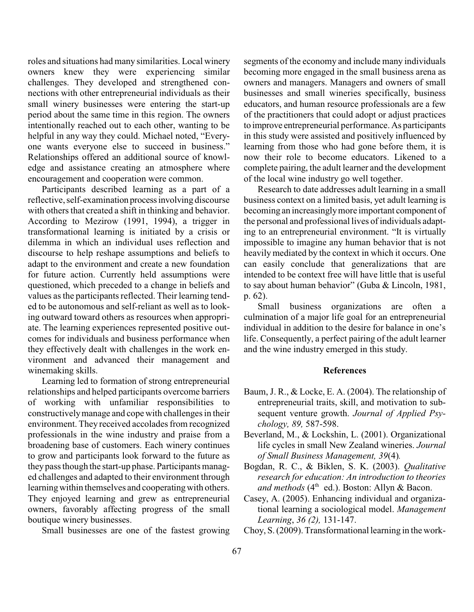roles and situations had many similarities. Local winery owners knew they were experiencing similar challenges. They developed and strengthened connections with other entrepreneurial individuals as their small winery businesses were entering the start-up period about the same time in this region. The owners intentionally reached out to each other, wanting to be helpful in any way they could. Michael noted, "Everyone wants everyone else to succeed in business." Relationships offered an additional source of knowledge and assistance creating an atmosphere where encouragement and cooperation were common.

Participants described learning as a part of a reflective, self-examination processinvolving discourse with others that created a shift in thinking and behavior. According to Mezirow (1991, 1994), a trigger in transformational learning is initiated by a crisis or dilemma in which an individual uses reflection and discourse to help reshape assumptions and beliefs to adapt to the environment and create a new foundation for future action. Currently held assumptions were questioned, which preceded to a change in beliefs and values as the participants reflected. Their learning tended to be autonomous and self-reliant as well as to looking outward toward others as resources when appropriate. The learning experiences represented positive outcomes for individuals and business performance when they effectively dealt with challenges in the work environment and advanced their management and winemaking skills.

Learning led to formation of strong entrepreneurial relationships and helped participants overcome barriers of working with unfamiliar responsibilities to constructivelymanage and cope with challenges in their environment. They received accolades from recognized professionals in the wine industry and praise from a broadening base of customers. Each winery continues to grow and participants look forward to the future as theypass though the start-up phase. Participants managed challenges and adapted to their environment through learning within themselves and cooperatingwith others. They enjoyed learning and grew as entrepreneurial owners, favorably affecting progress of the small boutique winery businesses.

Small businesses are one of the fastest growing

segments of the economy and include many individuals becoming more engaged in the small business arena as owners and managers. Managers and owners of small businesses and small wineries specifically, business educators, and human resource professionals are a few of the practitioners that could adopt or adjust practices to improve entrepreneurial performance. As participants in this study were assisted and positively influenced by learning from those who had gone before them, it is now their role to become educators. Likened to a complete pairing, the adult learner and the development of the local wine industry go well together.

Research to date addresses adult learning in a small business context on a limited basis, yet adult learning is becoming an increasinglymore important component of the personal and professional lives of individuals adapting to an entrepreneurial environment. "It is virtually impossible to imagine any human behavior that is not heavily mediated by the context in which it occurs. One can easily conclude that generalizations that are intended to be context free will have little that is useful to say about human behavior" (Guba & Lincoln, 1981, p. 62).

Small business organizations are often a culmination of a major life goal for an entrepreneurial individual in addition to the desire for balance in one's life. Consequently, a perfect pairing of the adult learner and the wine industry emerged in this study.

#### **References**

- Baum, J. R., & Locke, E. A. (2004). The relationship of entrepreneurial traits, skill, and motivation to subsequent venture growth. *Journal of Applied Psychology, 89,* 587-598.
- Beverland, M., & Lockshin, L. (2001). Organizational life cycles in small New Zealand wineries. *Journal of Small Business Management, 39*(4)*.*
- Bogdan, R. C., & Biklen, S. K. (2003). *Qualitative research for education: An introduction to theories and methods* (4<sup>th</sup> ed.). Boston: Allyn & Bacon.
- Casey, A. (2005). Enhancing individual and organizational learning a sociological model. *Management Learning*, *36 (2),* 131-147.
- Choy, S. (2009). Transformational learning in the work-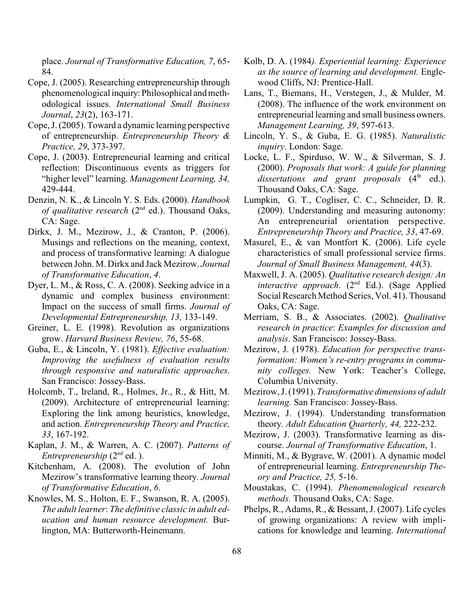place. *Journal of Transformative Education, 7*, 65- 84.

- Cope, J. (2005). Researching entrepreneurship through phenomenological inquiry: Philosophical and methodological issues. *International Small Business Journal*, *23*(2), 163-171.
- Cope, J. (2005). Toward a dynamic learning perspective of entrepreneurship. *Entrepreneurship Theory & Practice, 29*, 373-397.
- Cope, J. (2003). Entrepreneurial learning and critical reflection: Discontinuous events as triggers for "higher level" learning. *Management Learning, 34,* 429-444.
- Denzin, N. K., & Lincoln Y. S. Eds. (2000). *Handbook of qualitative research* ( $2<sup>nd</sup>$  ed.). Thousand Oaks, CA: Sage.
- Dirkx, J. M., Mezirow, J., & Cranton, P. (2006). Musings and reflections on the meaning, context, and process of transformative learning: A dialogue between John. M. Dirkx and Jack Mezirow. *Journal of Transformative Education*, *4*.
- Dyer, L. M., & Ross, C. A. (2008). Seeking advice in a dynamic and complex business environment: Impact on the success of small firms. *Journal of Developmental Entrepreneurship, 13,* 133-149.
- Greiner, L. E. (1998). Revolution as organizations grow. *Harvard Business Review, 76*, 55-68.
- Guba, E., & Lincoln, Y. (1981). *Effective evaluation: Improving the usefulness of evaluation results through responsive and naturalistic approaches*. San Francisco: Jossey-Bass.
- Holcomb, T., Ireland, R., Holmes, Jr., R., & Hitt, M. (2009). Architecture of entrepreneurial learning: Exploring the link among heuristics, knowledge, and action. *Entrepreneurship Theory and Practice, 33*, 167-192.
- Kaplan, J. M., & Warren, A. C. (2007). *Patterns of Entrepreneurship* (2<sup>nd</sup> ed.).
- Kitchenham, A. (2008). The evolution of John Mezirow's transformative learning theory. *Journal of Transformative Education*, *6*.
- Knowles, M. S., Holton, E. F., Swanson, R. A. (2005). *The adult learner*: *The definitive classic in adult education and human resource development.* Burlington, MA: Butterworth-Heinemann.
- Kolb, D. A. (1984*). Experiential learning: Experience as the source of learning and development.* Englewood Cliffs, NJ: Prentice-Hall.
- Lans, T., Biemans, H., Verstegen, J., & Mulder, M. (2008). The influence of the work environment on entrepreneurial learning and small business owners. *Management Learning, 39*, 597-613.
- Lincoln, Y. S., & Guba, E. G. (1985). *Naturalistic inquiry*. London: Sage.
- Locke, L. F., Spirduso, W. W., & Silverman, S. J. (2000). *Proposals that work: A guide for planning dissertations and grant proposals* (4<sup>th</sup> ed.). Thousand Oaks, CA: Sage.
- Lumpkin, G. T., Cogliser, C. C., Schneider, D. R. (2009). Understanding and measuring autonomy: An entrepreneurial orientation perspective. *Entrepreneurship Theory and Practice, 33*, 47-69.
- Masurel, E., & van Montfort K. (2006). Life cycle characteristics of small professional service firms. *Journal of Small Business Management, 44*(3).
- Maxwell, J. A. (2005). *Qualitative research design: An interactive approach.*  $(2<sup>nd</sup> Ed.)$ . (Sage Applied Social Research Method Series, Vol. 41). Thousand Oaks, CA: Sage.
- Merriam, S. B., & Associates. (2002). *Qualitative research in practice*: *Examples for discussion and analysis*. San Francisco: Jossey-Bass.
- Mezirow, J. (1978). *Education for perspective transformation: Women's re-entry programs in community colleges.* New York: Teacher's College, Columbia University.
- Mezirow, J. (1991). *Transformative dimensions of adult learning.* San Francisco: Jossey-Bass.
- Mezirow, J. (1994). Understanding transformation theory. *Adult Education Quarterly, 44,* 222-232.
- Mezirow, J. (2003). Transformative learning as discourse. *Journal of Transformative Education*, 1.
- Minniti, M., & Bygrave, W. (2001). A dynamic model of entrepreneurial learning. *Entrepreneurship Theory and Practice, 25,* 5-16.
- Moustakas, C. (1994). *Phenomenological research methods.* Thousand Oaks, CA: Sage.
- Phelps, R., Adams, R., & Bessant, J. (2007). Life cycles of growing organizations: A review with implications for knowledge and learning. *International*